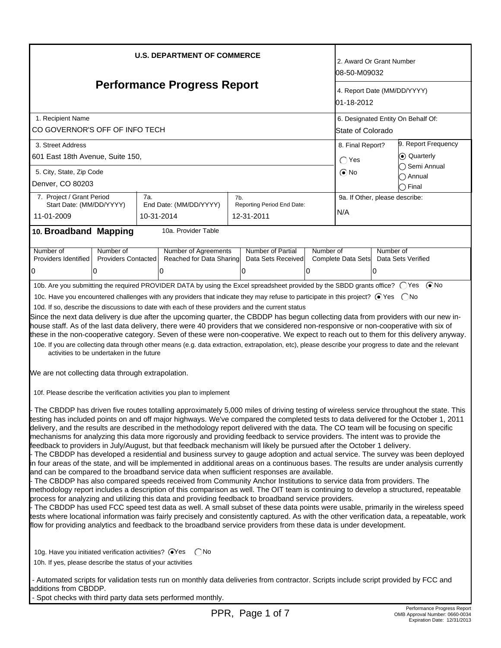| <b>U.S. DEPARTMENT OF COMMERCE</b><br><b>Performance Progress Report</b>                                                                                                                                                                                                                                                                                                                                                                                                                                                                                                                                                                                                                                                                                                                                                                                                                                                                                                                                                                                                                                                                                                                                                                                                                                                                                                                                                                                                                                                                                                                                                                                                                                                                                                                                                                                                                                                 |                                                                                                                                                         |  |                                                              |  |                                               | 2. Award Or Grant Number<br>08-50-M09032<br>4. Report Date (MM/DD/YYYY)<br>01-18-2012 |                                       |                                                                            |                                                     |
|--------------------------------------------------------------------------------------------------------------------------------------------------------------------------------------------------------------------------------------------------------------------------------------------------------------------------------------------------------------------------------------------------------------------------------------------------------------------------------------------------------------------------------------------------------------------------------------------------------------------------------------------------------------------------------------------------------------------------------------------------------------------------------------------------------------------------------------------------------------------------------------------------------------------------------------------------------------------------------------------------------------------------------------------------------------------------------------------------------------------------------------------------------------------------------------------------------------------------------------------------------------------------------------------------------------------------------------------------------------------------------------------------------------------------------------------------------------------------------------------------------------------------------------------------------------------------------------------------------------------------------------------------------------------------------------------------------------------------------------------------------------------------------------------------------------------------------------------------------------------------------------------------------------------------|---------------------------------------------------------------------------------------------------------------------------------------------------------|--|--------------------------------------------------------------|--|-----------------------------------------------|---------------------------------------------------------------------------------------|---------------------------------------|----------------------------------------------------------------------------|-----------------------------------------------------|
|                                                                                                                                                                                                                                                                                                                                                                                                                                                                                                                                                                                                                                                                                                                                                                                                                                                                                                                                                                                                                                                                                                                                                                                                                                                                                                                                                                                                                                                                                                                                                                                                                                                                                                                                                                                                                                                                                                                          |                                                                                                                                                         |  |                                                              |  |                                               |                                                                                       |                                       |                                                                            | 1. Recipient Name<br>CO GOVERNOR'S OFF OF INFO TECH |
| 3. Street Address<br>601 East 18th Avenue, Suite 150,<br>5. City, State, Zip Code<br>Denver, CO 80203                                                                                                                                                                                                                                                                                                                                                                                                                                                                                                                                                                                                                                                                                                                                                                                                                                                                                                                                                                                                                                                                                                                                                                                                                                                                                                                                                                                                                                                                                                                                                                                                                                                                                                                                                                                                                    |                                                                                                                                                         |  |                                                              |  |                                               | 8. Final Report?<br>$\bigcap$ Yes<br>$\odot$ No                                       |                                       | 9. Report Frequency<br>C Quarterly<br>∩ Semi Annual<br>◯ Annual<br>∩ Final |                                                     |
| 11-01-2009                                                                                                                                                                                                                                                                                                                                                                                                                                                                                                                                                                                                                                                                                                                                                                                                                                                                                                                                                                                                                                                                                                                                                                                                                                                                                                                                                                                                                                                                                                                                                                                                                                                                                                                                                                                                                                                                                                               | 7. Project / Grant Period<br>7a.<br>7b.<br>Reporting Period End Date:<br>Start Date: (MM/DD/YYYY)<br>End Date: (MM/DD/YYYY)<br>10-31-2014<br>12-31-2011 |  |                                                              |  |                                               |                                                                                       | 9a. If Other, please describe:<br>N/A |                                                                            |                                                     |
| 10. Broadband Mapping                                                                                                                                                                                                                                                                                                                                                                                                                                                                                                                                                                                                                                                                                                                                                                                                                                                                                                                                                                                                                                                                                                                                                                                                                                                                                                                                                                                                                                                                                                                                                                                                                                                                                                                                                                                                                                                                                                    |                                                                                                                                                         |  | 10a. Provider Table                                          |  |                                               |                                                                                       |                                       |                                                                            |                                                     |
| Number of<br>Providers Identified<br>0                                                                                                                                                                                                                                                                                                                                                                                                                                                                                                                                                                                                                                                                                                                                                                                                                                                                                                                                                                                                                                                                                                                                                                                                                                                                                                                                                                                                                                                                                                                                                                                                                                                                                                                                                                                                                                                                                   | Number of<br><b>Providers Contacted</b><br>0                                                                                                            |  | <b>Number of Agreements</b><br>Reached for Data Sharing<br>0 |  | Number of Partial<br>Data Sets Received<br>10 | Number of<br>0                                                                        | Complete Data Sets                    | Number of<br>10                                                            | Data Sets Verified                                  |
| 10b. Are you submitting the required PROVIDER DATA by using the Excel spreadsheet provided by the SBDD grants office? ○ Yes ● No<br>10c. Have you encountered challenges with any providers that indicate they may refuse to participate in this project? ● Yes ● No<br>10d. If so, describe the discussions to date with each of these providers and the current status<br>Since the next data delivery is due after the upcoming quarter, the CBDDP has begun collecting data from providers with our new in-<br>house staff. As of the last data delivery, there were 40 providers that we considered non-responsive or non-cooperative with six of<br>these in the non-cooperative category. Seven of these were non-cooperative. We expect to reach out to them for this delivery anyway.<br>10e. If you are collecting data through other means (e.g. data extraction, extrapolation, etc), please describe your progress to date and the relevant<br>activities to be undertaken in the future<br>We are not collecting data through extrapolation.                                                                                                                                                                                                                                                                                                                                                                                                                                                                                                                                                                                                                                                                                                                                                                                                                                                               |                                                                                                                                                         |  |                                                              |  |                                               |                                                                                       |                                       |                                                                            |                                                     |
| 10f. Please describe the verification activities you plan to implement<br>- The CBDDP has driven five routes totalling approximately 5,000 miles of driving testing of wireless service throughout the state. This<br>testing has included points on and off major highways. We've compared the completed tests to data delivered for the October 1, 2011<br>delivery, and the results are described in the methodology report delivered with the data. The CO team will be focusing on specific<br>mechanisms for analyzing this data more rigorously and providing feedback to service providers. The intent was to provide the<br>feedback to providers in July/August, but that feedback mechanism will likely be pursued after the October 1 delivery.<br>- The CBDDP has developed a residential and business survey to gauge adoption and actual service. The survey was been deployed<br>in four areas of the state, and will be implemented in additional areas on a continuous bases. The results are under analysis currently<br>and can be compared to the broadband service data when sufficient responses are available.<br>- The CBDDP has also compared speeds received from Community Anchor Institutions to service data from providers. The<br>methodology report includes a description of this comparison as well. The OIT team is continuing to develop a structured, repeatable<br>process for analyzing and utilizing this data and providing feedback to broadband service providers.<br>- The CBDDP has used FCC speed test data as well. A small subset of these data points were usable, primarily in the wireless speed<br>tests where locational information was fairly precisely and consistently captured. As with the other verification data, a repeatable, work<br>flow for providing analytics and feedback to the broadband service providers from these data is under development. |                                                                                                                                                         |  |                                                              |  |                                               |                                                                                       |                                       |                                                                            |                                                     |
| 10h. If yes, please describe the status of your activities                                                                                                                                                                                                                                                                                                                                                                                                                                                                                                                                                                                                                                                                                                                                                                                                                                                                                                                                                                                                                                                                                                                                                                                                                                                                                                                                                                                                                                                                                                                                                                                                                                                                                                                                                                                                                                                               |                                                                                                                                                         |  |                                                              |  |                                               |                                                                                       |                                       |                                                                            |                                                     |
| - Automated scripts for validation tests run on monthly data deliveries from contractor. Scripts include script provided by FCC and<br>additions from CBDDP.<br>- Spot checks with third party data sets performed monthly.                                                                                                                                                                                                                                                                                                                                                                                                                                                                                                                                                                                                                                                                                                                                                                                                                                                                                                                                                                                                                                                                                                                                                                                                                                                                                                                                                                                                                                                                                                                                                                                                                                                                                              |                                                                                                                                                         |  |                                                              |  |                                               |                                                                                       |                                       |                                                                            |                                                     |

J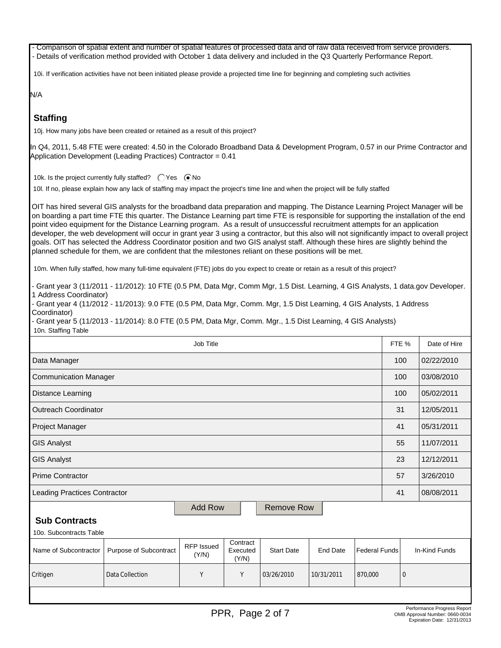- Comparison of spatial extent and number of spatial features of processed data and of raw data received from service providers. - Details of verification method provided with October 1 data delivery and included in the Q3 Quarterly Performance Report.

10i. If verification activities have not been initiated please provide a projected time line for beginning and completing such activities

N/A

# **Staffing**

10j. How many jobs have been created or retained as a result of this project?

In Q4, 2011, 5.48 FTE were created: 4.50 in the Colorado Broadband Data & Development Program, 0.57 in our Prime Contractor and Application Development (Leading Practices) Contractor = 0.41

10k. Is the project currently fully staffed?  $\bigcirc$  Yes  $\bigcirc$  No

10l. If no, please explain how any lack of staffing may impact the project's time line and when the project will be fully staffed

OIT has hired several GIS analysts for the broadband data preparation and mapping. The Distance Learning Project Manager will be on boarding a part time FTE this quarter. The Distance Learning part time FTE is responsible for supporting the installation of the end point video equipment for the Distance Learning program. As a result of unsuccessful recruitment attempts for an application developer, the web development will occur in grant year 3 using a contractor, but this also will not significantly impact to overall project goals. OIT has selected the Address Coordinator position and two GIS analyst staff. Although these hires are slightly behind the planned schedule for them, we are confident that the milestones reliant on these positions will be met.

10m. When fully staffed, how many full-time equivalent (FTE) jobs do you expect to create or retain as a result of this project?

- Grant year 3 (11/2011 - 11/2012): 10 FTE (0.5 PM, Data Mgr, Comm Mgr, 1.5 Dist. Learning, 4 GIS Analysts, 1 data.gov Developer. 1 Address Coordinator)

- Grant year 4 (11/2012 - 11/2013): 9.0 FTE (0.5 PM, Data Mgr, Comm. Mgr, 1.5 Dist Learning, 4 GIS Analysts, 1 Address Coordinator)

- Grant year 5 (11/2013 - 11/2014): 8.0 FTE (0.5 PM, Data Mgr, Comm. Mgr., 1.5 Dist Learning, 4 GIS Analysts) 10n. Staffing Table

|                                     | FTE %                  | Date of Hire                                                                                                                |            |            |            |         |               |            |
|-------------------------------------|------------------------|-----------------------------------------------------------------------------------------------------------------------------|------------|------------|------------|---------|---------------|------------|
| Data Manager                        |                        |                                                                                                                             |            |            |            |         |               | 02/22/2010 |
| Communication Manager               | 100                    | 03/08/2010                                                                                                                  |            |            |            |         |               |            |
| Distance Learning                   | 100                    | 05/02/2011                                                                                                                  |            |            |            |         |               |            |
| Outreach Coordinator                |                        | 31                                                                                                                          | 12/05/2011 |            |            |         |               |            |
| Project Manager                     |                        |                                                                                                                             |            |            |            |         | 41            | 05/31/2011 |
| <b>GIS Analyst</b>                  |                        |                                                                                                                             |            |            |            |         |               | 11/07/2011 |
| GIS Analyst                         |                        |                                                                                                                             |            |            |            |         |               | 12/12/2011 |
| <b>Prime Contractor</b>             |                        |                                                                                                                             |            |            |            |         |               | 3/26/2010  |
| Leading Practices Contractor        |                        |                                                                                                                             |            |            |            |         | 41            | 08/08/2011 |
| <b>Add Row</b><br><b>Remove Row</b> |                        |                                                                                                                             |            |            |            |         |               |            |
| <b>Sub Contracts</b>                |                        |                                                                                                                             |            |            |            |         |               |            |
| 10o. Subcontracts Table             |                        |                                                                                                                             |            |            |            |         |               |            |
| Name of Subcontractor               | Purpose of Subcontract | Contract<br><b>RFP</b> Issued<br><b>Start Date</b><br><b>End Date</b><br><b>Federal Funds</b><br>Executed<br>(Y/N)<br>(Y/N) |            |            |            |         | In-Kind Funds |            |
| Critigen                            | Data Collection        |                                                                                                                             | Υ          | 03/26/2010 | 10/31/2011 | 870,000 | $\mathbf 0$   |            |
|                                     |                        |                                                                                                                             |            |            |            |         |               |            |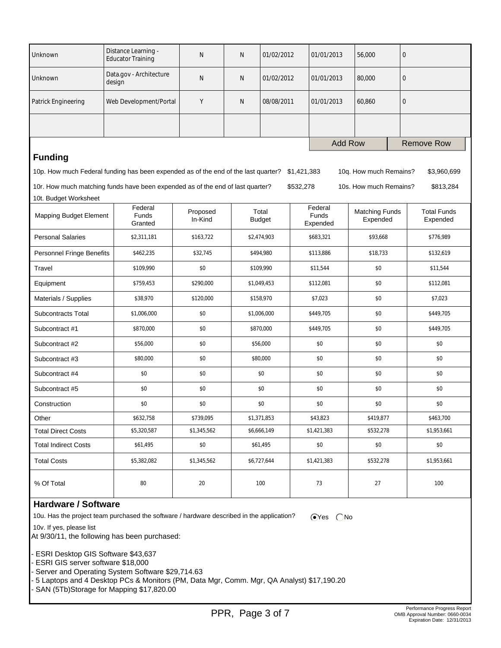| Unknown                       | Distance Learning -<br><b>Educator Training</b>                                    | N                   | N           | 01/02/2012             | 01/01/2013  |                              | 56,000                            | $\mathbf{0}$                   |  |
|-------------------------------|------------------------------------------------------------------------------------|---------------------|-------------|------------------------|-------------|------------------------------|-----------------------------------|--------------------------------|--|
| Unknown                       | Data.gov - Architecture<br>design                                                  | $\mathsf{N}$        | N           | 01/02/2012             |             | 01/01/2013                   | 80,000                            | $\mathbf{0}$                   |  |
| Patrick Engineering           | Web Development/Portal                                                             | Y                   | N           | 08/08/2011             |             | 01/01/2013                   | 60,860                            | $\mathbf 0$                    |  |
|                               |                                                                                    |                     |             |                        |             |                              |                                   |                                |  |
|                               |                                                                                    |                     |             |                        |             | <b>Add Row</b>               |                                   | <b>Remove Row</b>              |  |
| <b>Funding</b>                |                                                                                    |                     |             |                        |             |                              |                                   |                                |  |
|                               | 10p. How much Federal funding has been expended as of the end of the last quarter? |                     |             |                        | \$1,421,383 |                              | 10q. How much Remains?            | \$3,960,699                    |  |
|                               | 10r. How much matching funds have been expended as of the end of last quarter?     |                     |             |                        | \$532,278   |                              | 10s. How much Remains?            | \$813,284                      |  |
| 10t. Budget Worksheet         |                                                                                    |                     |             |                        |             |                              |                                   |                                |  |
| <b>Mapping Budget Element</b> | Federal<br><b>Funds</b><br>Granted                                                 | Proposed<br>In-Kind |             | Total<br><b>Budget</b> |             | Federal<br>Funds<br>Expended | <b>Matching Funds</b><br>Expended | <b>Total Funds</b><br>Expended |  |
| <b>Personal Salaries</b>      | \$2,311,181                                                                        | \$163,722           |             | \$2,474,903            |             | \$683,321                    | \$93,668                          | \$776,989                      |  |
| Personnel Fringe Benefits     | \$462,235                                                                          | \$32,745            |             | \$494,980              |             | \$113,886                    | \$18,733                          | \$132,619                      |  |
| Travel                        | \$109,990                                                                          | \$0                 |             | \$109,990              |             | \$11,544                     | \$0                               | \$11,544                       |  |
| Equipment                     | \$759,453                                                                          | \$290,000           |             | \$1,049,453            |             | \$112,081                    | \$0                               | \$112,081                      |  |
| Materials / Supplies          | \$38,970                                                                           | \$120,000           |             | \$158,970              |             | \$7,023                      | \$0                               | \$7,023                        |  |
| Subcontracts Total            | \$1,006,000                                                                        | \$0                 |             | \$1,006,000            |             | \$449,705                    | \$0                               | \$449,705                      |  |
| Subcontract #1                | \$870,000                                                                          | \$0                 |             | \$870,000              |             | \$449,705                    | \$0                               | \$449,705                      |  |
| Subcontract #2                | \$56,000                                                                           | \$0                 |             | \$56,000               |             | \$0                          | \$0                               | \$0                            |  |
| Subcontract #3                | \$80,000                                                                           | \$0                 |             | \$80,000               |             | \$0                          | \$0                               | \$0                            |  |
| Subcontract #4                | \$0                                                                                | \$0                 |             | \$0                    |             | \$0                          | \$0                               | \$0                            |  |
| Subcontract #5                | \$0                                                                                | \$0                 |             | \$0                    |             | \$0                          | \$0                               | \$0                            |  |
| Construction                  | \$0                                                                                | \$0                 | \$0         |                        | \$0         |                              | \$0                               | \$0                            |  |
| Other                         | \$632,758                                                                          | \$739,095           | \$1,371,853 |                        | \$43,823    |                              | \$419,877                         | \$463,700                      |  |
| <b>Total Direct Costs</b>     | \$5,320,587                                                                        | \$1,345,562         | \$6,666,149 |                        | \$1,421,383 |                              | \$532,278                         | \$1,953,661                    |  |
| <b>Total Indirect Costs</b>   | \$61,495                                                                           | \$0                 | \$61,495    |                        | \$0         |                              | \$0                               | \$0                            |  |
| <b>Total Costs</b>            | \$5,382,082                                                                        | \$1,345,562         |             | \$6,727,644            |             | \$1,421,383                  | \$532,278                         | \$1,953,661                    |  |
| % Of Total                    | 80                                                                                 | 20                  |             | 100                    |             | 73                           | 27                                | 100                            |  |

### **Hardware / Software**

10v. If yes, please list

10u. Has the project team purchased the software / hardware described in the application?  $\bigcirc$ Yes  $\bigcirc$ No

At 9/30/11, the following has been purchased:

- ESRI Desktop GIS Software \$43,637

- ESRI GIS server software \$18,000

- Server and Operating System Software \$29,714.63

- 5 Laptops and 4 Desktop PCs & Monitors (PM, Data Mgr, Comm. Mgr, QA Analyst) \$17,190.20

- SAN (5Tb)Storage for Mapping \$17,820.00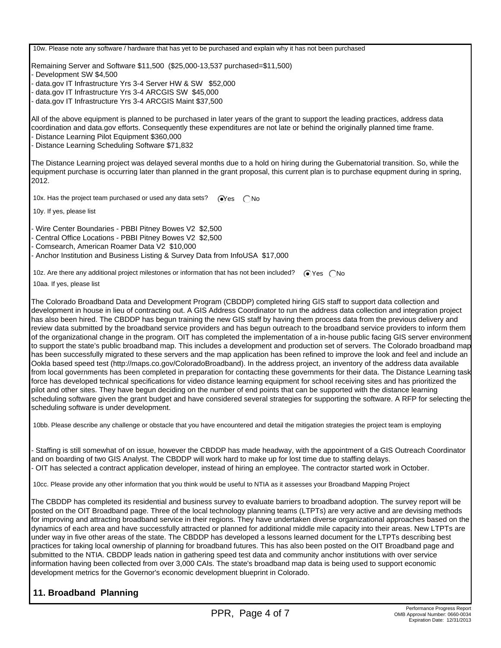10w. Please note any software / hardware that has yet to be purchased and explain why it has not been purchased

Remaining Server and Software \$11,500 (\$25,000-13,537 purchased=\$11,500)

- Development SW \$4,500

- data.gov IT Infrastructure Yrs 3-4 Server HW & SW \$52,000

- data.gov IT Infrastructure Yrs 3-4 ARCGIS SW \$45,000

- data.gov IT Infrastructure Yrs 3-4 ARCGIS Maint \$37,500

All of the above equipment is planned to be purchased in later years of the grant to support the leading practices, address data coordination and data.gov efforts. Consequently these expenditures are not late or behind the originally planned time frame.

- Distance Learning Pilot Equipment \$360,000

- Distance Learning Scheduling Software \$71,832

The Distance Learning project was delayed several months due to a hold on hiring during the Gubernatorial transition. So, while the equipment purchase is occurring later than planned in the grant proposal, this current plan is to purchase equpment during in spring, 2012.

10x. Has the project team purchased or used any data sets?  $\bigcirc$ Yes  $\bigcirc$ No

10y. If yes, please list

- Wire Center Boundaries - PBBI Pitney Bowes V2 \$2,500

- Central Office Locations - PBBI Pitney Bowes V2 \$2,500

- Comsearch, American Roamer Data V2 \$10,000

- Anchor Institution and Business Listing & Survey Data from InfoUSA \$17,000

10z. Are there any additional project milestones or information that has not been included?  $\bigcirc$  Yes  $\bigcirc$  No

10aa. If yes, please list

The Colorado Broadband Data and Development Program (CBDDP) completed hiring GIS staff to support data collection and development in house in lieu of contracting out. A GIS Address Coordinator to run the address data collection and integration project has also been hired. The CBDDP has begun training the new GIS staff by having them process data from the previous delivery and review data submitted by the broadband service providers and has begun outreach to the broadband service providers to inform them of the organizational change in the program. OIT has completed the implementation of a in-house public facing GIS server environment to support the state's public broadband map. This includes a development and production set of servers. The Colorado broadband map has been successfully migrated to these servers and the map application has been refined to improve the look and feel and include an Ookla based speed test (http://maps.co.gov/ColoradoBroadband). In the address project, an inventory of the address data available from local governments has been completed in preparation for contacting these governments for their data. The Distance Learning task force has developed technical specifications for video distance learning equipment for school receiving sites and has prioritized the pilot and other sites. They have begun deciding on the number of end points that can be supported with the distance learning scheduling software given the grant budget and have considered several strategies for supporting the software. A RFP for selecting the scheduling software is under development.

10bb. Please describe any challenge or obstacle that you have encountered and detail the mitigation strategies the project team is employing

- Staffing is still somewhat of on issue, however the CBDDP has made headway, with the appointment of a GIS Outreach Coordinator and on boarding of two GIS Analyst. The CBDDP will work hard to make up for lost time due to staffing delays. - OIT has selected a contract application developer, instead of hiring an employee. The contractor started work in October.

10cc. Please provide any other information that you think would be useful to NTIA as it assesses your Broadband Mapping Project

The CBDDP has completed its residential and business survey to evaluate barriers to broadband adoption. The survey report will be posted on the OIT Broadband page. Three of the local technology planning teams (LTPTs) are very active and are devising methods for improving and attracting broadband service in their regions. They have undertaken diverse organizational approaches based on the dynamics of each area and have successfully attracted or planned for additional middle mile capacity into their areas. New LTPTs are under way in five other areas of the state. The CBDDP has developed a lessons learned document for the LTPTs describing best practices for taking local ownership of planning for broadband futures. This has also been posted on the OIT Broadband page and submitted to the NTIA. CBDDP leads nation in gathering speed test data and community anchor institutions with over service information having been collected from over 3,000 CAIs. The state's broadband map data is being used to support economic development metrics for the Governor's economic development blueprint in Colorado.

#### **11. Broadband Planning**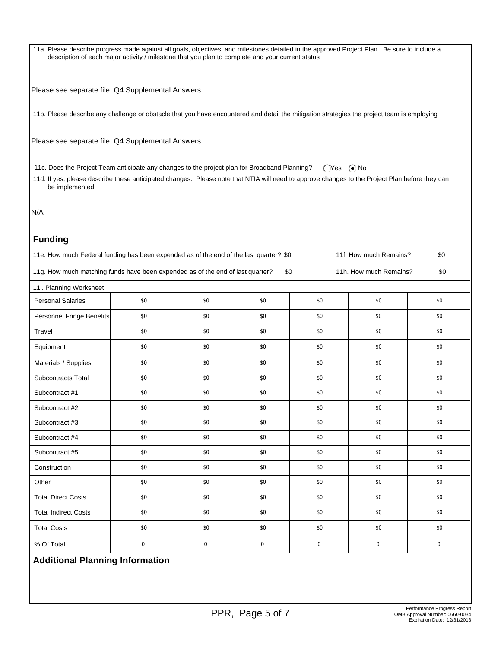11a. Please describe progress made against all goals, objectives, and milestones detailed in the approved Project Plan. Be sure to include a description of each major activity / milestone that you plan to complete and your current status

Please see separate file: Q4 Supplemental Answers

11b. Please describe any challenge or obstacle that you have encountered and detail the mitigation strategies the project team is employing

Please see separate file: Q4 Supplemental Answers

11c. Does the Project Team anticipate any changes to the project plan for Broadband Planning?  $\bigcirc$ Yes  $\bigcirc$ No

 11d. If yes, please describe these anticipated changes. Please note that NTIA will need to approve changes to the Project Plan before they can be implemented

N/A

#### **Funding**

| 11e. How much Federal funding has been expended as of the end of the last quarter? \$0 | 11f. How much Remains? | \$0 |
|----------------------------------------------------------------------------------------|------------------------|-----|
|                                                                                        |                        |     |

11g. How much matching funds have been expended as of the end of last quarter? \$0 11h. How much Remains? \$0

| 11i. Planning Worksheet     |             |             |             |     |     |             |
|-----------------------------|-------------|-------------|-------------|-----|-----|-------------|
| <b>Personal Salaries</b>    | \$0         | \$0         | \$0         | \$0 | \$0 | \$0         |
| Personnel Fringe Benefits   | \$0         | \$0         | \$0         | \$0 | \$0 | \$0         |
| Travel                      | \$0         | \$0         | \$0         | \$0 | \$0 | \$0         |
| Equipment                   | \$0         | \$0         | \$0         | \$0 | \$0 | \$0         |
| Materials / Supplies        | \$0         | \$0         | \$0         | \$0 | \$0 | \$0         |
| Subcontracts Total          | \$0         | \$0         | \$0         | \$0 | \$0 | \$0         |
| Subcontract #1              | \$0         | \$0         | \$0         | \$0 | \$0 | \$0         |
| Subcontract #2              | \$0         | \$0         | \$0         | \$0 | \$0 | \$0         |
| Subcontract #3              | \$0         | \$0         | \$0         | \$0 | \$0 | \$0         |
| Subcontract #4              | \$0         | \$0         | \$0         | \$0 | \$0 | \$0         |
| Subcontract #5              | \$0         | \$0         | \$0         | \$0 | \$0 | \$0         |
| Construction                | \$0         | \$0         | \$0         | \$0 | \$0 | \$0         |
| Other                       | \$0         | \$0         | \$0         | \$0 | \$0 | \$0         |
| <b>Total Direct Costs</b>   | \$0         | \$0         | \$0         | \$0 | \$0 | \$0         |
| <b>Total Indirect Costs</b> | \$0         | \$0         | \$0         | \$0 | \$0 | \$0         |
| <b>Total Costs</b>          | \$0         | \$0         | \$0         | \$0 | \$0 | \$0         |
| % Of Total                  | $\mathbf 0$ | $\mathbf 0$ | $\mathbf 0$ | 0   | 0   | $\mathbf 0$ |

## **Additional Planning Information**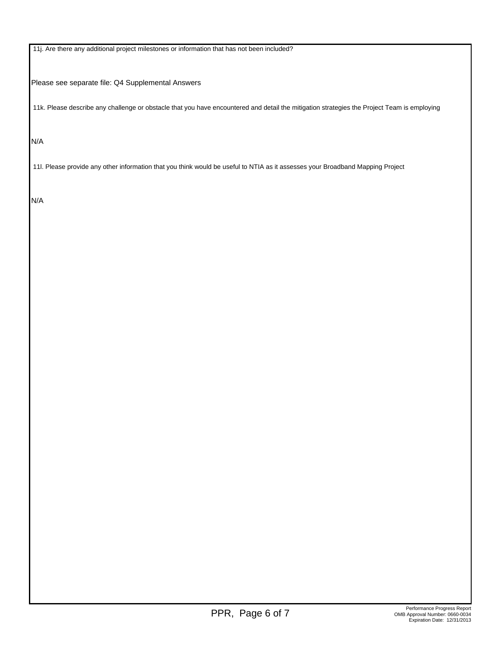11j. Are there any additional project milestones or information that has not been included?

Please see separate file: Q4 Supplemental Answers

11k. Please describe any challenge or obstacle that you have encountered and detail the mitigation strategies the Project Team is employing

N/A

11l. Please provide any other information that you think would be useful to NTIA as it assesses your Broadband Mapping Project

N/A